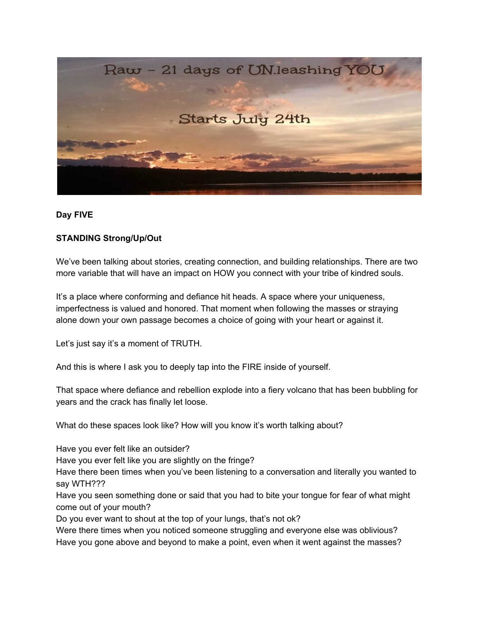

## **Day FIVE**

## **STANDING Strong/Up/Out**

We've been talking about stories, creating connection, and building relationships. There are two more variable that will have an impact on HOW you connect with your tribe of kindred souls.

It's a place where conforming and defiance hit heads. A space where your uniqueness, imperfectness is valued and honored. That moment when following the masses or straying alone down your own passage becomes a choice of going with your heart or against it.

Let's just say it's a moment of TRUTH.

And this is where I ask you to deeply tap into the FIRE inside of yourself.

That space where defiance and rebellion explode into a fiery volcano that has been bubbling for years and the crack has finally let loose.

What do these spaces look like? How will you know it's worth talking about?

Have you ever felt like an outsider?

Have you ever felt like you are slightly on the fringe?

Have there been times when you've been listening to a conversation and literally you wanted to say WTH???

Have you seen something done or said that you had to bite your tongue for fear of what might come out of your mouth?

Do you ever want to shout at the top of your lungs, that's not ok?

Were there times when you noticed someone struggling and everyone else was oblivious? Have you gone above and beyond to make a point, even when it went against the masses?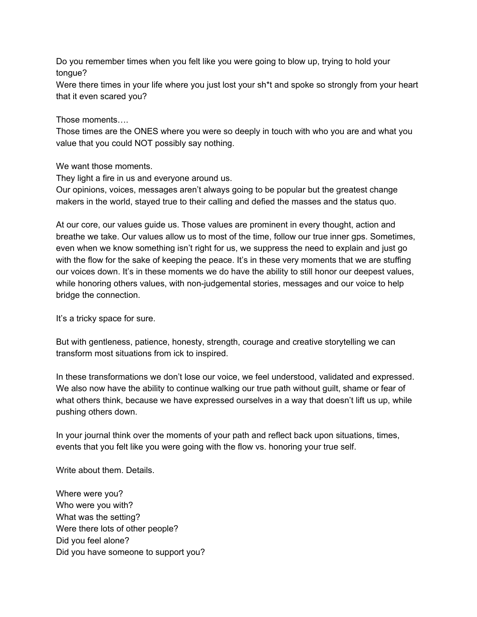Do you remember times when you felt like you were going to blow up, trying to hold your tongue?

Were there times in your life where you just lost your sh\*t and spoke so strongly from your heart that it even scared you?

Those moments….

Those times are the ONES where you were so deeply in touch with who you are and what you value that you could NOT possibly say nothing.

We want those moments.

They light a fire in us and everyone around us.

Our opinions, voices, messages aren't always going to be popular but the greatest change makers in the world, stayed true to their calling and defied the masses and the status quo.

At our core, our values guide us. Those values are prominent in every thought, action and breathe we take. Our values allow us to most of the time, follow our true inner gps. Sometimes, even when we know something isn't right for us, we suppress the need to explain and just go with the flow for the sake of keeping the peace. It's in these very moments that we are stuffing our voices down. It's in these moments we do have the ability to still honor our deepest values, while honoring others values, with non-judgemental stories, messages and our voice to help bridge the connection.

It's a tricky space for sure.

But with gentleness, patience, honesty, strength, courage and creative storytelling we can transform most situations from ick to inspired.

In these transformations we don't lose our voice, we feel understood, validated and expressed. We also now have the ability to continue walking our true path without guilt, shame or fear of what others think, because we have expressed ourselves in a way that doesn't lift us up, while pushing others down.

In your journal think over the moments of your path and reflect back upon situations, times, events that you felt like you were going with the flow vs. honoring your true self.

Write about them. Details.

Where were you? Who were you with? What was the setting? Were there lots of other people? Did you feel alone? Did you have someone to support you?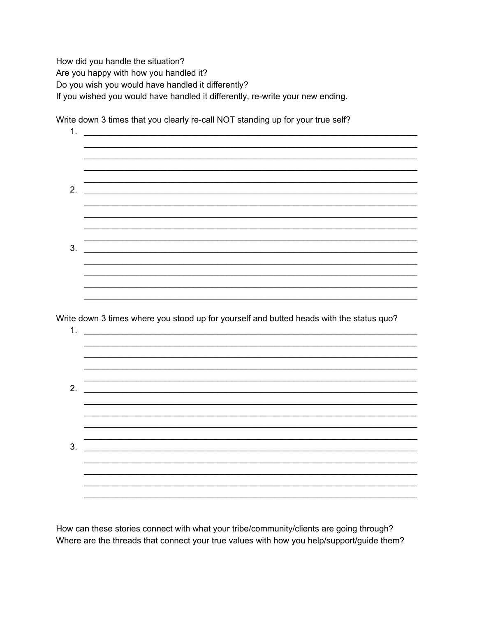How did you handle the situation? Are you happy with how you handled it? Do you wish you would have handled it differently? If you wished you would have handled it differently, re-write your new ending.

| 1.             |                                                                                                                       |  |
|----------------|-----------------------------------------------------------------------------------------------------------------------|--|
|                |                                                                                                                       |  |
|                |                                                                                                                       |  |
| 2.             | <u> 1989 - Johann Johann Stoff, deutscher Stoffen und der Stoffen und der Stoffen und der Stoffen und der Stoffen</u> |  |
|                |                                                                                                                       |  |
|                |                                                                                                                       |  |
|                |                                                                                                                       |  |
| 3.             | <u> 2000 - 2000 - 2000 - 2000 - 2000 - 2000 - 2000 - 2000 - 2000 - 2000 - 2000 - 2000 - 2000 - 2000 - 2000 - 200</u>  |  |
|                |                                                                                                                       |  |
|                |                                                                                                                       |  |
|                |                                                                                                                       |  |
|                |                                                                                                                       |  |
|                | Write down 3 times where you stood up for yourself and butted heads with the status quo?                              |  |
|                |                                                                                                                       |  |
|                |                                                                                                                       |  |
|                |                                                                                                                       |  |
|                | <u> 1980 - Jan Barbara, manazarta maso da manazarta (h. 1980).</u>                                                    |  |
|                |                                                                                                                       |  |
|                |                                                                                                                       |  |
|                |                                                                                                                       |  |
|                |                                                                                                                       |  |
|                |                                                                                                                       |  |
| 1.<br>2.<br>3. |                                                                                                                       |  |

Write down 3 times that you clearly re-call NOT standing up for your true self?

How can these stories connect with what your tribe/community/clients are going through? Where are the threads that connect your true values with how you help/support/guide them?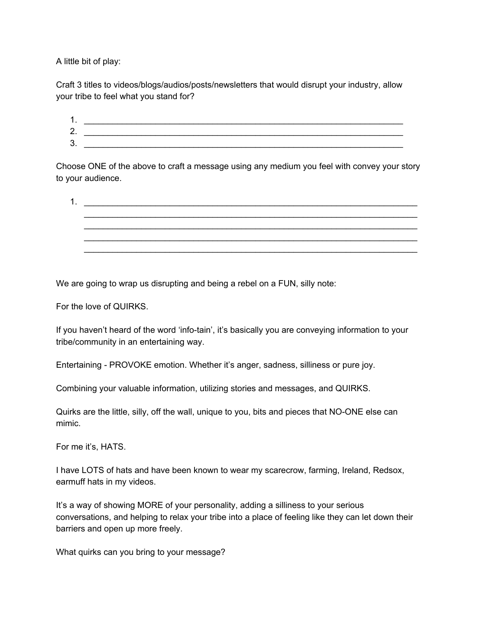A little bit of play:

Craft 3 titles to videos/blogs/audios/posts/newsletters that would disrupt your industry, allow your tribe to feel what you stand for?

| . .     |  |
|---------|--|
| ⌒<br>۷. |  |
| っ<br>J. |  |

Choose ONE of the above to craft a message using any medium you feel with convey your story to your audience.

1.  $\Box$ \_\_\_\_\_\_\_\_\_\_\_\_\_\_\_\_\_\_\_\_\_\_\_\_\_\_\_\_\_\_\_\_\_\_\_\_\_\_\_\_\_\_\_\_\_\_\_\_\_\_\_\_\_\_\_\_\_\_\_\_\_\_\_\_\_\_\_\_\_\_ \_\_\_\_\_\_\_\_\_\_\_\_\_\_\_\_\_\_\_\_\_\_\_\_\_\_\_\_\_\_\_\_\_\_\_\_\_\_\_\_\_\_\_\_\_\_\_\_\_\_\_\_\_\_\_\_\_\_\_\_\_\_\_\_\_\_\_\_\_\_ \_\_\_\_\_\_\_\_\_\_\_\_\_\_\_\_\_\_\_\_\_\_\_\_\_\_\_\_\_\_\_\_\_\_\_\_\_\_\_\_\_\_\_\_\_\_\_\_\_\_\_\_\_\_\_\_\_\_\_\_\_\_\_\_\_\_\_\_\_\_ \_\_\_\_\_\_\_\_\_\_\_\_\_\_\_\_\_\_\_\_\_\_\_\_\_\_\_\_\_\_\_\_\_\_\_\_\_\_\_\_\_\_\_\_\_\_\_\_\_\_\_\_\_\_\_\_\_\_\_\_\_\_\_\_\_\_\_\_\_\_

We are going to wrap us disrupting and being a rebel on a FUN, silly note:

For the love of QUIRKS.

If you haven't heard of the word 'info-tain', it's basically you are conveying information to your tribe/community in an entertaining way.

Entertaining - PROVOKE emotion. Whether it's anger, sadness, silliness or pure joy.

Combining your valuable information, utilizing stories and messages, and QUIRKS.

Quirks are the little, silly, off the wall, unique to you, bits and pieces that NO-ONE else can mimic.

For me it's, HATS.

I have LOTS of hats and have been known to wear my scarecrow, farming, Ireland, Redsox, earmuff hats in my videos.

It's a way of showing MORE of your personality, adding a silliness to your serious conversations, and helping to relax your tribe into a place of feeling like they can let down their barriers and open up more freely.

What quirks can you bring to your message?